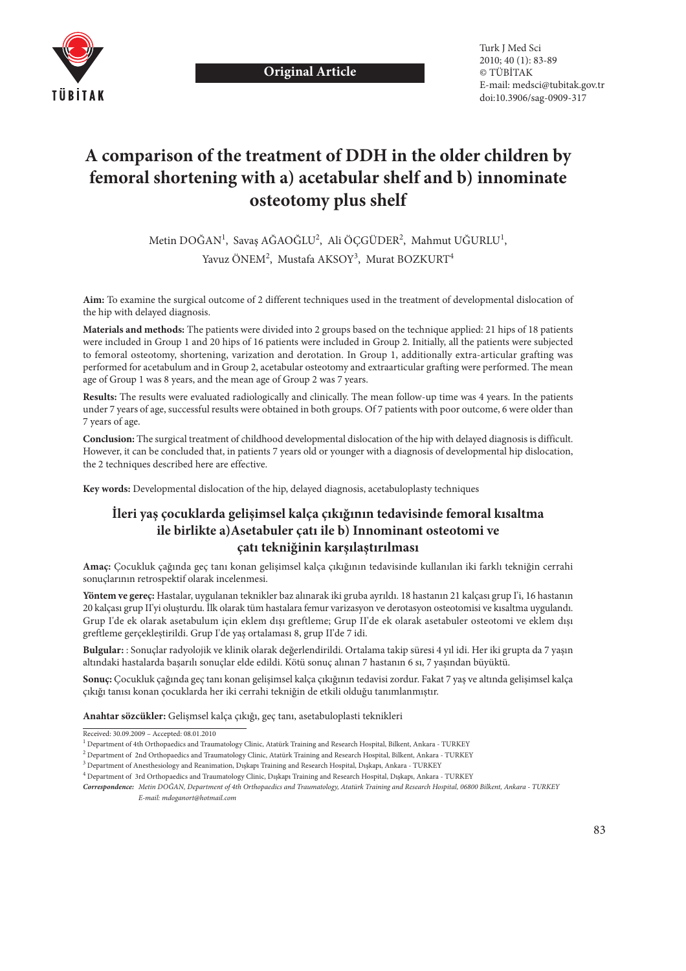

Turk J Med Sci 2010; 40 (1): 83-89 © TÜBİTAK E-mail: medsci@tubitak.gov.tr doi:10.3906/sag-0909-317

# **A comparison of the treatment of DDH in the older children by femoral shortening with a) acetabular shelf and b) innominate osteotomy plus shelf**

Metin DOĞAN<sup>1</sup>, Savaş AĞAOĞLU<sup>2</sup>, Ali ÖÇGÜDER<sup>2</sup>, Mahmut UĞURLU<sup>1</sup>, Yavuz ÖNEM<sup>2</sup>, Mustafa AKSOY<sup>3</sup>, Murat BOZKURT<sup>4</sup>

**Aim:** To examine the surgical outcome of 2 different techniques used in the treatment of developmental dislocation of the hip with delayed diagnosis.

**Materials and methods:** The patients were divided into 2 groups based on the technique applied: 21 hips of 18 patients were included in Group 1 and 20 hips of 16 patients were included in Group 2. Initially, all the patients were subjected to femoral osteotomy, shortening, varization and derotation. In Group 1, additionally extra-articular grafting was performed for acetabulum and in Group 2, acetabular osteotomy and extraarticular grafting were performed. The mean age of Group 1 was 8 years, and the mean age of Group 2 was 7 years.

**Results:** The results were evaluated radiologically and clinically. The mean follow-up time was 4 years. In the patients under 7 years of age, successful results were obtained in both groups. Of 7 patients with poor outcome, 6 were older than 7 years of age.

**Conclusion:** The surgical treatment of childhood developmental dislocation of the hip with delayed diagnosis is difficult. However, it can be concluded that, in patients 7 years old or younger with a diagnosis of developmental hip dislocation, the 2 techniques described here are effective.

**Key words:** Developmental dislocation of the hip, delayed diagnosis, acetabuloplasty techniques

## **İleri yaş çocuklarda gelişimsel kalça çıkığının tedavisinde femoral kısaltma ile birlikte a)Asetabuler çatı ile b) Innominant osteotomi ve çatı tekniğinin karşılaştırılması**

**Amaç:** Çocukluk çağında geç tanı konan gelişimsel kalça çıkığının tedavisinde kullanılan iki farklı tekniğin cerrahi sonuçlarının retrospektif olarak incelenmesi.

**Yöntem ve gereç:** Hastalar, uygulanan teknikler baz alınarak iki gruba ayrıldı. 18 hastanın 21 kalçası grup I'i, 16 hastanın 20 kalçası grup II'yi oluşturdu. İlk olarak tüm hastalara femur varizasyon ve derotasyon osteotomisi ve kısaltma uygulandı. Grup I'de ek olarak asetabulum için eklem dışı greftleme; Grup II'de ek olarak asetabuler osteotomi ve eklem dışı greftleme gerçekleştirildi. Grup I'de yaş ortalaması 8, grup II'de 7 idi.

**Bulgular:** : Sonuçlar radyolojik ve klinik olarak değerlendirildi. Ortalama takip süresi 4 yıl idi. Her iki grupta da 7 yaşın altındaki hastalarda başarılı sonuçlar elde edildi. Kötü sonuç alınan 7 hastanın 6 sı, 7 yaşından büyüktü.

**Sonuç:** Çocukluk çağında geç tanı konan gelişimsel kalça çıkığının tedavisi zordur. Fakat 7 yaş ve altında gelişimsel kalça çıkığı tanısı konan çocuklarda her iki cerrahi tekniğin de etkili olduğu tanımlanmıştır.

**Anahtar sözcükler:** Gelişmsel kalça çıkığı, geç tanı, asetabuloplasti teknikleri

*Correspondence: Metin DOĞAN, Department of 4th Orthopaedics and Traumatology, Atatürk Training and Research Hospital, 06800 Bilkent, Ankara - TURKEY E-mail: mdoganort@hotmail.com*

Received: 30.09.2009 – Accepted: 08.01.2010

<sup>1</sup> Department of 4th Orthopaedics and Traumatology Clinic, Atatürk Training and Research Hospital, Bilkent, Ankara - TURKEY

<sup>2</sup> Department of 2nd Orthopaedics and Traumatology Clinic, Atatürk Training and Research Hospital, Bilkent, Ankara - TURKEY

<sup>3</sup> Department of Anesthesiology and Reanimation, Dışkapı Training and Research Hospital, Dışkapı, Ankara - TURKEY

<sup>4</sup> Department of 3rd Orthopaedics and Traumatology Clinic, Dışkapı Training and Research Hospital, Dışkapı, Ankara - TURKEY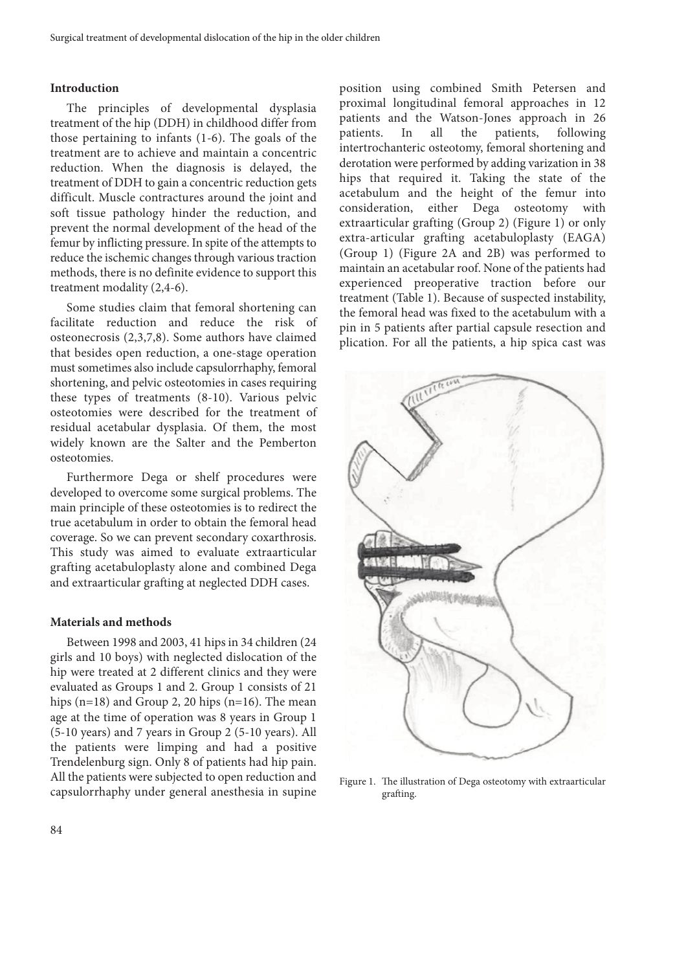#### **Introduction**

The principles of developmental dysplasia treatment of the hip (DDH) in childhood differ from those pertaining to infants (1-6). The goals of the treatment are to achieve and maintain a concentric reduction. When the diagnosis is delayed, the treatment of DDH to gain a concentric reduction gets difficult. Muscle contractures around the joint and soft tissue pathology hinder the reduction, and prevent the normal development of the head of the femur by inflicting pressure. In spite of the attempts to reduce the ischemic changes through various traction methods, there is no definite evidence to support this treatment modality (2,4-6).

Some studies claim that femoral shortening can facilitate reduction and reduce the risk of osteonecrosis (2,3,7,8). Some authors have claimed that besides open reduction, a one-stage operation must sometimes also include capsulorrhaphy, femoral shortening, and pelvic osteotomies in cases requiring these types of treatments (8-10). Various pelvic osteotomies were described for the treatment of residual acetabular dysplasia. Of them, the most widely known are the Salter and the Pemberton osteotomies.

Furthermore Dega or shelf procedures were developed to overcome some surgical problems. The main principle of these osteotomies is to redirect the true acetabulum in order to obtain the femoral head coverage. So we can prevent secondary coxarthrosis. This study was aimed to evaluate extraarticular grafting acetabuloplasty alone and combined Dega and extraarticular grafting at neglected DDH cases.

#### **Materials and methods**

Between 1998 and 2003, 41 hips in 34 children (24 girls and 10 boys) with neglected dislocation of the hip were treated at 2 different clinics and they were evaluated as Groups 1 and 2. Group 1 consists of 21 hips  $(n=18)$  and Group 2, 20 hips  $(n=16)$ . The mean age at the time of operation was 8 years in Group 1 (5-10 years) and 7 years in Group 2 (5-10 years). All the patients were limping and had a positive Trendelenburg sign. Only 8 of patients had hip pain. All the patients were subjected to open reduction and capsulorrhaphy under general anesthesia in supine

position using combined Smith Petersen and proximal longitudinal femoral approaches in 12 patients and the Watson-Jones approach in 26 patients. In all the patients, following intertrochanteric osteotomy, femoral shortening and derotation were performed by adding varization in 38 hips that required it. Taking the state of the acetabulum and the height of the femur into consideration, either Dega osteotomy with extraarticular grafting (Group 2) (Figure 1) or only extra-articular grafting acetabuloplasty (EAGA) (Group 1) (Figure 2A and 2B) was performed to maintain an acetabular roof. None of the patients had experienced preoperative traction before our treatment (Table 1). Because of suspected instability, the femoral head was fixed to the acetabulum with a pin in 5 patients after partial capsule resection and plication. For all the patients, a hip spica cast was



Figure 1. The illustration of Dega osteotomy with extraarticular grafting.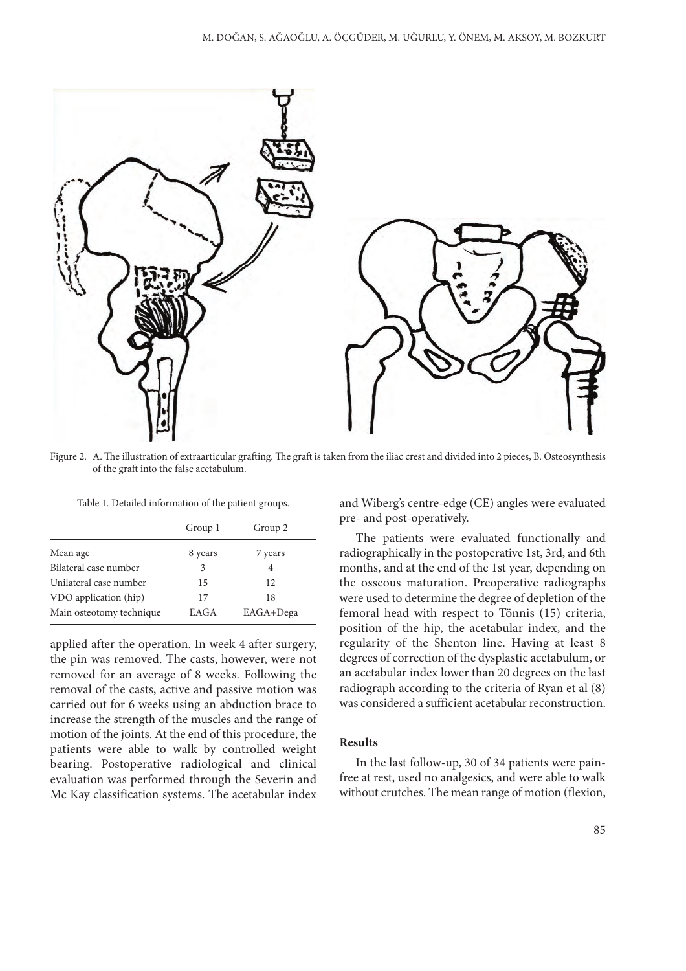

Figure 2. A. The illustration of extraarticular grafting. The graft is taken from the iliac crest and divided into 2 pieces, B. Osteosynthesis of the graft into the false acetabulum.

Table 1. Detailed information of the patient groups.

|                          | Group 1 | Group 2   |
|--------------------------|---------|-----------|
| Mean age                 | 8 years | 7 years   |
| Bilateral case number    | 3       | 4         |
| Unilateral case number   | 15      | 12        |
| VDO application (hip)    | 17      | 18        |
| Main osteotomy technique | EAGA    | EAGA+Dega |
|                          |         |           |

applied after the operation. In week 4 after surgery, the pin was removed. The casts, however, were not removed for an average of 8 weeks. Following the removal of the casts, active and passive motion was carried out for 6 weeks using an abduction brace to increase the strength of the muscles and the range of motion of the joints. At the end of this procedure, the patients were able to walk by controlled weight bearing. Postoperative radiological and clinical evaluation was performed through the Severin and Mc Kay classification systems. The acetabular index and Wiberg's centre-edge (CE) angles were evaluated pre- and post-operatively.

The patients were evaluated functionally and radiographically in the postoperative 1st, 3rd, and 6th months, and at the end of the 1st year, depending on the osseous maturation. Preoperative radiographs were used to determine the degree of depletion of the femoral head with respect to Tönnis (15) criteria, position of the hip, the acetabular index, and the regularity of the Shenton line. Having at least 8 degrees of correction of the dysplastic acetabulum, or an acetabular index lower than 20 degrees on the last radiograph according to the criteria of Ryan et al (8) was considered a sufficient acetabular reconstruction.

### **Results**

In the last follow-up, 30 of 34 patients were painfree at rest, used no analgesics, and were able to walk without crutches. The mean range of motion (flexion,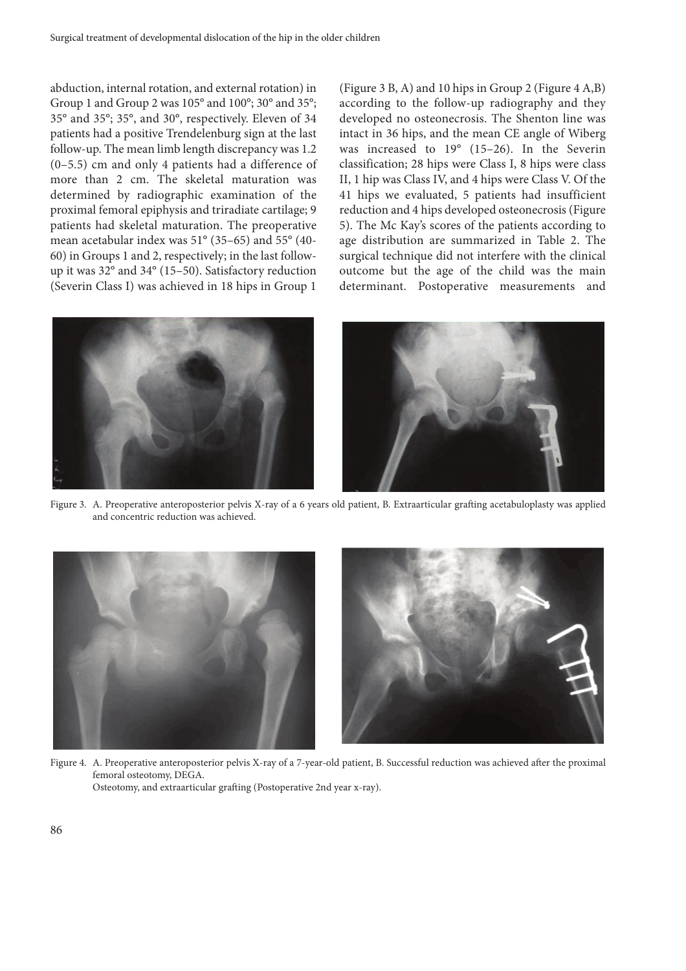abduction, internal rotation, and external rotation) in Group 1 and Group 2 was 105° and 100°; 30° and 35°; 35° and 35°; 35°, and 30°, respectively. Eleven of 34 patients had a positive Trendelenburg sign at the last follow-up. The mean limb length discrepancy was 1.2 (0–5.5) cm and only 4 patients had a difference of more than 2 cm. The skeletal maturation was determined by radiographic examination of the proximal femoral epiphysis and triradiate cartilage; 9 patients had skeletal maturation. The preoperative mean acetabular index was 51° (35–65) and 55° (40- 60) in Groups 1 and 2, respectively; in the last followup it was 32° and 34° (15–50). Satisfactory reduction (Severin Class I) was achieved in 18 hips in Group 1

(Figure 3 B, A) and 10 hips in Group 2 (Figure 4 A,B) according to the follow-up radiography and they developed no osteonecrosis. The Shenton line was intact in 36 hips, and the mean CE angle of Wiberg was increased to 19° (15–26). In the Severin classification; 28 hips were Class I, 8 hips were class II, 1 hip was Class IV, and 4 hips were Class V. Of the 41 hips we evaluated, 5 patients had insufficient reduction and 4 hips developed osteonecrosis (Figure 5). The Mc Kay's scores of the patients according to age distribution are summarized in Table 2. The surgical technique did not interfere with the clinical outcome but the age of the child was the main determinant. Postoperative measurements and





Figure 3. A. Preoperative anteroposterior pelvis X-ray of a 6 years old patient, B. Extraarticular grafting acetabuloplasty was applied and concentric reduction was achieved.



Figure 4. A. Preoperative anteroposterior pelvis X-ray of a 7-year-old patient, B. Successful reduction was achieved after the proximal femoral osteotomy, DEGA. Osteotomy, and extraarticular grafting (Postoperative 2nd year x-ray).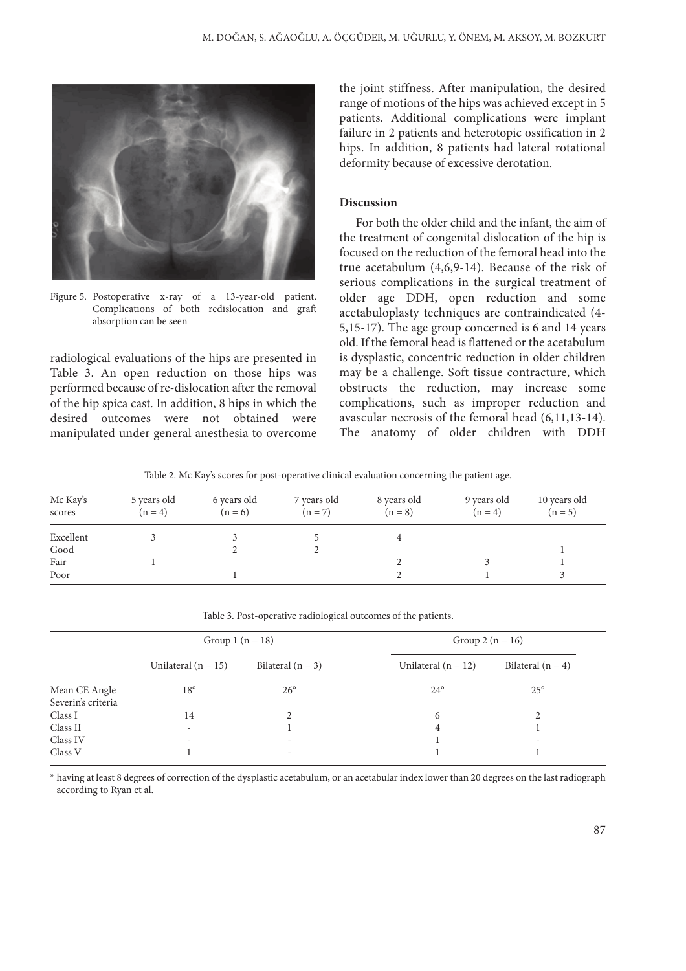

Figure 5. Postoperative x-ray of a 13-year-old patient. Complications of both redislocation and graft absorption can be seen

radiological evaluations of the hips are presented in Table 3. An open reduction on those hips was performed because of re-dislocation after the removal of the hip spica cast. In addition, 8 hips in which the desired outcomes were not obtained were manipulated under general anesthesia to overcome the joint stiffness. After manipulation, the desired range of motions of the hips was achieved except in 5 patients. Additional complications were implant failure in 2 patients and heterotopic ossification in 2 hips. In addition, 8 patients had lateral rotational deformity because of excessive derotation.

#### **Discussion**

For both the older child and the infant, the aim of the treatment of congenital dislocation of the hip is focused on the reduction of the femoral head into the true acetabulum (4,6,9-14). Because of the risk of serious complications in the surgical treatment of older age DDH, open reduction and some acetabuloplasty techniques are contraindicated (4- 5,15-17). The age group concerned is 6 and 14 years old. If the femoral head is flattened or the acetabulum is dysplastic, concentric reduction in older children may be a challenge. Soft tissue contracture, which obstructs the reduction, may increase some complications, such as improper reduction and avascular necrosis of the femoral head (6,11,13-14). The anatomy of older children with DDH

Table 2. Mc Kay's scores for post-operative clinical evaluation concerning the patient age.

| Mc Kay's<br>scores | 5 years old<br>$(n = 4)$ | 6 years old<br>$(n = 6)$ | 7 years old<br>$(n = 7)$ | 8 years old<br>$(n = 8)$ | 9 years old<br>$(n = 4)$ | 10 years old<br>$(n = 5)$ |
|--------------------|--------------------------|--------------------------|--------------------------|--------------------------|--------------------------|---------------------------|
| Excellent          |                          |                          |                          |                          |                          |                           |
| Good               |                          |                          |                          |                          |                          |                           |
| Fair               |                          |                          |                          |                          |                          |                           |
| Poor               |                          |                          |                          |                          |                          |                           |

Table 3. Post-operative radiological outcomes of the patients.

|                    | Group 1 $(n = 18)$       |                          | Group 2 ( $n = 16$ )  |                          |
|--------------------|--------------------------|--------------------------|-----------------------|--------------------------|
|                    | Unilateral ( $n = 15$ )  | Bilateral $(n = 3)$      | Unilateral $(n = 12)$ | Bilateral $(n = 4)$      |
| Mean CE Angle      | $18^{\circ}$             | $26^{\circ}$             | $24^{\circ}$          | $25^{\circ}$             |
| Severin's criteria |                          |                          |                       |                          |
| Class I            | 14                       | $\mathfrak{D}$           | 6                     |                          |
| Class II           | $\overline{\phantom{0}}$ |                          | 4                     |                          |
| Class IV           | $\overline{\phantom{0}}$ | $\overline{\phantom{a}}$ |                       | $\overline{\phantom{a}}$ |
| Class V            |                          | $\overline{\phantom{0}}$ |                       |                          |

\* having at least 8 degrees of correction of the dysplastic acetabulum, or an acetabular index lower than 20 degrees on the last radiograph according to Ryan et al.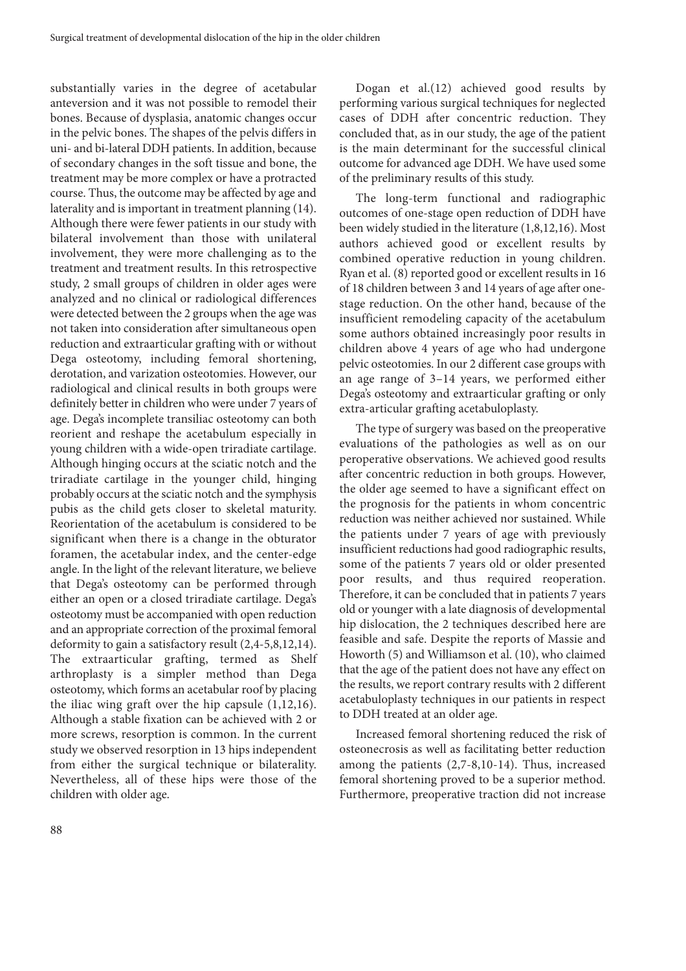substantially varies in the degree of acetabular anteversion and it was not possible to remodel their bones. Because of dysplasia, anatomic changes occur in the pelvic bones. The shapes of the pelvis differs in uni- and bi-lateral DDH patients. In addition, because of secondary changes in the soft tissue and bone, the treatment may be more complex or have a protracted course. Thus, the outcome may be affected by age and laterality and is important in treatment planning (14). Although there were fewer patients in our study with bilateral involvement than those with unilateral involvement, they were more challenging as to the treatment and treatment results. In this retrospective study, 2 small groups of children in older ages were analyzed and no clinical or radiological differences were detected between the 2 groups when the age was not taken into consideration after simultaneous open reduction and extraarticular grafting with or without Dega osteotomy, including femoral shortening, derotation, and varization osteotomies. However, our radiological and clinical results in both groups were definitely better in children who were under 7 years of age. Dega's incomplete transiliac osteotomy can both reorient and reshape the acetabulum especially in young children with a wide-open triradiate cartilage. Although hinging occurs at the sciatic notch and the triradiate cartilage in the younger child, hinging probably occurs at the sciatic notch and the symphysis pubis as the child gets closer to skeletal maturity. Reorientation of the acetabulum is considered to be significant when there is a change in the obturator foramen, the acetabular index, and the center-edge angle. In the light of the relevant literature, we believe that Dega's osteotomy can be performed through either an open or a closed triradiate cartilage. Dega's osteotomy must be accompanied with open reduction and an appropriate correction of the proximal femoral deformity to gain a satisfactory result (2,4-5,8,12,14). The extraarticular grafting, termed as Shelf arthroplasty is a simpler method than Dega osteotomy, which forms an acetabular roof by placing the iliac wing graft over the hip capsule (1,12,16). Although a stable fixation can be achieved with 2 or more screws, resorption is common. In the current study we observed resorption in 13 hips independent from either the surgical technique or bilaterality. Nevertheless, all of these hips were those of the children with older age.

Dogan et al.(12) achieved good results by performing various surgical techniques for neglected cases of DDH after concentric reduction. They concluded that, as in our study, the age of the patient is the main determinant for the successful clinical outcome for advanced age DDH. We have used some of the preliminary results of this study.

The long-term functional and radiographic outcomes of one-stage open reduction of DDH have been widely studied in the literature (1,8,12,16). Most authors achieved good or excellent results by combined operative reduction in young children. Ryan et al. (8) reported good or excellent results in 16 of 18 children between 3 and 14 years of age after onestage reduction. On the other hand, because of the insufficient remodeling capacity of the acetabulum some authors obtained increasingly poor results in children above 4 years of age who had undergone pelvic osteotomies. In our 2 different case groups with an age range of 3–14 years, we performed either Dega's osteotomy and extraarticular grafting or only extra-articular grafting acetabuloplasty.

The type of surgery was based on the preoperative evaluations of the pathologies as well as on our peroperative observations. We achieved good results after concentric reduction in both groups. However, the older age seemed to have a significant effect on the prognosis for the patients in whom concentric reduction was neither achieved nor sustained. While the patients under 7 years of age with previously insufficient reductions had good radiographic results, some of the patients 7 years old or older presented poor results, and thus required reoperation. Therefore, it can be concluded that in patients 7 years old or younger with a late diagnosis of developmental hip dislocation, the 2 techniques described here are feasible and safe. Despite the reports of Massie and Howorth (5) and Williamson et al. (10), who claimed that the age of the patient does not have any effect on the results, we report contrary results with 2 different acetabuloplasty techniques in our patients in respect to DDH treated at an older age.

Increased femoral shortening reduced the risk of osteonecrosis as well as facilitating better reduction among the patients (2,7-8,10-14). Thus, increased femoral shortening proved to be a superior method. Furthermore, preoperative traction did not increase